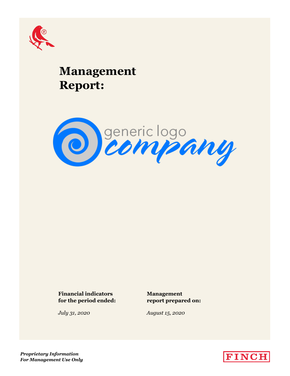

# **Management Report:**



# **Financial indicators Management for the period ended: report prepared on:**

*July 31, 2020 August 15, 2020*

*Proprietary Information For Management Use Only*

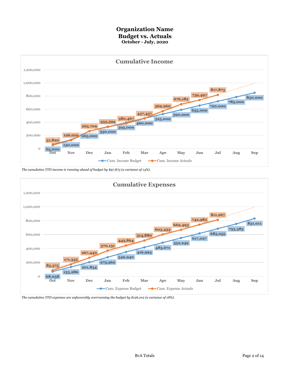### **Organization Name Budget vs. Actuals October - July, 2020**



*The cumulative YTD income is running ahead of budget by \$97,873 (a variance of 14%).*



*The cumulative YTD expenses are unfavorably overrunning the budget by \$126,012 (a variance of 18%).*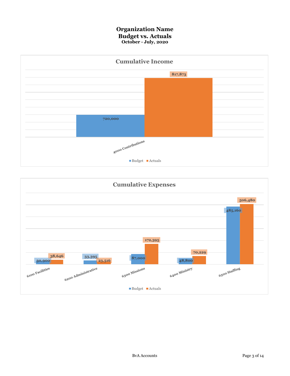### **Organization Name Budget vs. Actuals October - July, 2020**



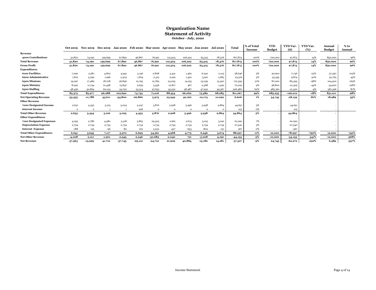#### **October - July, 2020 Statement of Activity Organization Name**

|                                 |           |                |          |           |           | Oct 2019 Nov 2019 Dec 2019 Jan 2020 Feb 2020 Mar 2020 Apr 2020 May 2020 Jun 2020 Jul 2020 |          |          |           |          | Total      | % of Total<br>Income | <b>YTD</b><br><b>Budget</b> | YTD Var.<br>$($ \$ | <b>YTD</b> Var.<br>(%) | Annual<br><b>Budget</b> | $%$ to<br>Annual |
|---------------------------------|-----------|----------------|----------|-----------|-----------|-------------------------------------------------------------------------------------------|----------|----------|-----------|----------|------------|----------------------|-----------------------------|--------------------|------------------------|-------------------------|------------------|
| Revenue                         |           |                |          |           |           |                                                                                           |          |          |           |          |            |                      |                             |                    |                        |                         |                  |
| 4000 Contributions              | 51,820    | 74,190         | 139,699  | 67,890    | 46,867    | 76,991                                                                                    | 112,503  | 106,222  | 63,315    | 78,376   | 817,873    | 100%                 | 720,000                     | 97,873             | 14%                    | 850,000                 | 96%              |
| <b>Total Revenue</b>            | 51,820    | 74,190         | 139,699  | 67,890    | 46,867    | 76,991                                                                                    | 112,503  | 106.222  | 63,315    | 78,376   | 817,873    | 100%                 | 720,000                     | 97,873             | 14%                    | 850,000                 | 96%              |
| <b>Gross Profit</b>             | 51,820    | 74,190         | 139,699  | 67,890    | 46,867    | 76,991                                                                                    | 112,503  | 106,222  | 63,315    | 78,376   | 817,873    | 100%                 | 720,000                     | 97,873             | 14%                    | 850,000                 | 96%              |
| <b>Expenditures</b>             |           |                |          |           |           |                                                                                           |          |          |           |          |            |                      |                             |                    |                        |                         |                  |
| <b>6100 Facilities</b>          | 7,090     | 2,581          | 4,822    | 4,942     | 3,146     | 2,808                                                                                     | 3,441    | 1,462    | 6,230     | 2,123    | 38,646     | 5%                   | 30,900                      | $-7,746$           | $-25%$                 | 37,550                  | 103%             |
| 6200 Administrative             | 1,812     | 3,299          | 1,996    | 2,303     | 1,819     | 2,315                                                                                     | 2,919    | 1,450    | 3,921     | 1,683    | 23,516     | 3%                   | 33,395                      | 9,879              | 30%                    | 52,765                  | 45%              |
| 6300 Missions                   | 19,097    | 17,489         | 18,708   | 26,846    | 12,795    | 12,784                                                                                    | 24,025   | 14,193   | 13,039    | 13,420   | 172,395    | 21%                  | 87,000                      | $-85,395$          | $-98%$                 | 104,400                 | 165%             |
| 6400 Ministry                   | 8,940     | 11,744         | 10,438   | 13,847    | 2,659     | 5,456                                                                                     | 12,817   | 467      | 2,368     | 1,492    | 70,229     | 9%                   | 48,800                      | $-21,429$          | $-44%$                 | 54,900                  | 128%             |
| 6500 Staffing                   | 48,436    | 50,864         | 60,124   | 54,752    | 53,314    | 47,653                                                                                    | 45,352   | 48,487   | 47,932    | 49,567   | 506,480    | 62%                  | 485,160                     | $-21,320$          | $-4%$                  | 581,396                 | 87%              |
| <b>Total Expenditures</b>       | 85,375    | 85,977         | 96,088   | 102,690   | 73,733    | 71,016                                                                                    | 88,554   | 66,060   | 73,489    | 68,285   | 811,267    | 99%                  | 685,255                     | $-126,012$         | $-18%$                 | 831,011                 | 98%              |
| <b>Net Operating Revenue</b>    | $-33,555$ | $-11,788$      | 43,611   | $-34,800$ | $-26,866$ | 5,975                                                                                     | 23,949   | 40,162   | $-10,174$ | 10,092   | 6,606      | 1%                   | 34,745                      | $-28,139$          | $-81%$                 | 18,989                  | 35%              |
| <b>Other Revenue</b>            |           |                |          |           |           |                                                                                           |          |          |           |          |            |                      |                             |                    |                        |                         |                  |
| 7000 Designated Income          | 2,631     | 3,432          | 5,215    | 3,024     | 4,247     | 3,876                                                                                     | 2,928    | 5,496    | 3,938     | 9,864    | 44,651     | 5%                   |                             | 44,651             |                        |                         |                  |
| <b>Interest Income</b>          | $\circ$   | $\overline{2}$ |          |           | 206       | $\Omega$                                                                                  | $\Omega$ | $\Omega$ | $\Omega$  | $\Omega$ | 213        | 0%                   |                             | 213                |                        |                         |                  |
| <b>Total Other Revenue</b>      | 2,633     | 3,434          | 5,216    | 3,025     | 4,453     | 3,876                                                                                     | 2,928    | 5,496    | 3,938     | 9,864    | 44,864     | 5%                   |                             | 44,864             |                        |                         |                  |
| <b>Other Expenditures</b>       |           |                |          |           |           |                                                                                           |          |          |           |          |            |                      |                             |                    |                        |                         |                  |
| 7100 Designated Expenses        | 4,095     | 2,786          | 4,480    | 3,318     | 3,865     | 29,305                                                                                    | 2,661    | 2,674    | 5,015     | 3,091    | 61,290     | 7%                   |                             | $-61,290$          |                        |                         |                  |
| <b>Depreciation Expense</b>     | 2,734     | 2,734          | 2,734    | 2,734     | 2,734     | 2,734                                                                                     | 2,734    | 2,734    | 2,734     | 2,734    | 27,340     | 3%                   |                             | $-27,340$          |                        |                         |                  |
| <b>Interest Expense</b>         | $-188$    | 125            | $-96$    | $-82$     | 100       | 2,522                                                                                     | $-427$   | $-633$   | $-802$    | $-151$   | 367        | 0%                   |                             | $-367$             |                        |                         |                  |
| <b>Total Other Expenditures</b> | 6,641     | 5,645          | 7,117    | 5,970     | 6,699     | 34,561                                                                                    | 4,968    | 4,775    | 6,946     | 5,674    | 88,997     | 11%                  | 10,000                      | $-78,997$          | $-790%$                | 12,000                  | 742%             |
| <b>Net Other Revenue</b>        | $-4,008$  | $-2,211$       | $-1,901$ | $-2,945$  | $-2,246$  | $-30,685$                                                                                 | $-2,040$ | 721      | -3,008    | 4,190    | $-44, 133$ | $-5%$                | $-10,000$                   | $-34,133$          | 341%                   | $-12,000$               | 368%             |
| <b>Net Revenue</b>              | $-37,563$ | $-13,999$      | 41,710   | $-37,745$ | $-29,112$ | $-24,710$                                                                                 | 21,909   | 40,884   | $-13,182$ | 14,281   | $-37,527$  | $-5%$                | 24,745                      | $-62,272$          | $-252%$                | 6,989                   | $-537%$          |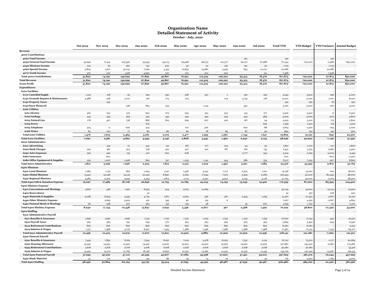## **Organization Name Detailed Statement of Activity October - July, 2020**

|                                                          | <b>Oct 2019</b> | <b>Nov 2019</b> | <b>Dec 2019</b> | <b>Jan 2020</b> | <b>Feb 2020</b> | <b>Mar 2020</b> | Apr 2020  | <b>May 2020</b> | <b>Jun 2020</b> | <b>Jul 2020</b> | <b>Total YTD</b> | <b>YTD Budget</b> |           | <b>YTD Variance Annual Budget</b> |
|----------------------------------------------------------|-----------------|-----------------|-----------------|-----------------|-----------------|-----------------|-----------|-----------------|-----------------|-----------------|------------------|-------------------|-----------|-----------------------------------|
| Revenue                                                  |                 |                 |                 |                 |                 |                 |           |                 |                 |                 |                  |                   |           |                                   |
| 4000 Contributions                                       |                 |                 |                 |                 |                 |                 |           |                 |                 |                 |                  |                   |           |                                   |
| 4020 Fund Income                                         |                 |                 |                 |                 |                 |                 |           |                 | 150             |                 | 150              |                   | 150       |                                   |
| 4030 General Fund Income                                 | 45,646          | 71,414          | 105,590         | 55,945          | 43,013          | 65,998          | 98,373    | 101,377         | 62,170          | 67,988          | 717,514          | 720,000           | $-2,486$  | 850,000                           |
| 4040 Missions Income                                     | 100             | 65              | 560             | 150             | 400             | 50              | 50        | 150             | 150             | 50              | 1,725            |                   | 1,725     |                                   |
| 4060 Special Income                                      | 5,804           | 2,611           | 32,031          | 7,096           | 3,355           | 10,843          | 13,980    | 4,495           | 845             | 10,027          | 91,086           |                   | 91,086    |                                   |
| 4070 Youth Income                                        | 270             | 100             | 1,518           | 4,699           | 100             | 100             | 100       | 200             |                 | 311             | 7,398            |                   | 7,398     |                                   |
| <b>Total 4000 Contributions</b>                          | 51,820          | 74,190          | 139,699         | 67,890          | 46,867          | 76,991          | 112,503   | 106,222         | 63,315          | 78,376          | 817,873          | 720,000           | 97,873    | 850,000                           |
| <b>Total Revenue</b>                                     | 51,820          | 74,190          | 139,699         | 67,890          | 46,867          | 76,991          | 112,503   | 106,222         | 63,315          | 78,376          | 817,873          | 720,000           | 97,873    | 850,000                           |
| <b>Gross Profit</b>                                      | 51,820          | 74,190          | 139,699         | 67,890          | 46,867          | 76,991          | 112,503   | 106,222         | 63,315          | 78,376          | 817,873          | 720,000           | 97,873    | 850,000                           |
| <b>Expenditures</b>                                      |                 |                 |                 |                 |                 |                 |           |                 |                 |                 |                  |                   |           |                                   |
| <b>6100 Facilities</b>                                   |                 |                 |                 |                 |                 |                 |           |                 |                 |                 |                  |                   |           |                                   |
| <b>6110 Custodial Supply</b>                             | 1,125           | 218             | 93              | 264             | 330             | 228             | 337       | $-1$            | 391             | 259             | 3,244            | 3,500             | 256       | 4,000                             |
| 6130 Grounds Repairs & Maintenance                       | 4,488           | 528             | 2,017           | 726             | 273             | 103             |           | 104             | 3,745           | 218             | 12,201           | 5,000             | $-7,201$  | 8,000                             |
| <b>6140 Property Taxes</b>                               |                 | 232             |                 |                 |                 |                 |           |                 |                 |                 | 232              | 250               | 18        | 250                               |
| <b>6150 Snow Removal</b>                                 |                 |                 | 248             | 893             | 525             |                 | 1,145     |                 | 350             |                 | 3,160            | 3,000             | $-160$    | 3,000                             |
| <b>6160 Utilities</b>                                    |                 |                 |                 |                 |                 |                 |           |                 |                 |                 |                  |                   |           |                                   |
| 6161 Electric                                            | 466             | 641             | 579             | 690             | 672             | 639             | 522       | 505             | 415             | 377             | 5,506            | 5,500             | $-6$      | 6,500                             |
| 6162 Garbage                                             | 445             | 445             | 465             | 445             | 445             | 445             | 445       | 445             | 445             | 484             | 4,509            | 4,000             | $-509$    | 4,800                             |
| 6163 Natural Gas                                         | 178             | 407             | 738             | 868             | 822             | 699             | 607       | 326             | 187             | 94              | 4,925            | 5,100             | 175       | 5,800                             |
| 6164 Sewer                                               |                 |                 |                 | 675             |                 |                 |           |                 |                 | 690             | 1,365            | 1,300             | $-65$     | 1,300                             |
| 6165 Telephone                                           | 305             | $11\,$          | 606             | 304             |                 | 611             | 306       |                 | 609             | $\mbox{-}88$    | 2,663            | 2,500             | $-163$    | 3,000                             |
| 6166 Water                                               | 83              | 100             | 77              | 80              | 80              | 82              | 78        | 84              | 87              | 90              | 840              | 750               | $-90$     | 900                               |
| <b>Total 6160 Utilities</b>                              | 1,476           | 1,603           | 2,464           | 3,061           | 2,019           | 2,477           | 1,959     | 1,360           | 1,744           | 1,647           | 19,809           | 19,150            | $-659$    | 22,300                            |
| <b>Total 6100 Facilities</b>                             | 7,090           | 2,581           | 4,822           | 4,942           | 3,146           | 2,808           | 3,441     | 1,462           | 6,230           | 2,123           | 38,646           | 30,900            | $-7,746$  | 37,550                            |
| 6200 Administrative                                      |                 |                 |                 |                 |                 |                 |           |                 |                 |                 |                  |                   |           |                                   |
| 6210 Advertising                                         |                 | 525             | 61              | 432             | 152             | 187             | 277       | 104             | 43              | 30              | 1,810            | 1,700             | $-110$    | 1,800                             |
| <b>6220 Bank Charges</b>                                 | 564             | 481             | 503             | 738             | 520             | 407             | 910       | 787             | 766             | 755             | 6,431            | 3,750             | $-2,681$  | 4,500                             |
| 6230 Auto Expenses                                       | 329             | 492             | 125             | $\rm 210$       | 620             | 208             |           |                 | 2,777           | 343             | 5,104            | 2,095             | $-3,009$  | 2,445                             |
| 6260 Insurance                                           |                 | 600             |                 |                 |                 |                 |           |                 |                 |                 | 600              |                   | $-600$    | 11,500                            |
| 6280 Office Equipment & Supplies                         | 919             | 1,007           | 1,308           | 805             | 527             | 1,235           | 1,141     | 434             | 386             | 554             | 8,317            | 7,350             | $-967$    | 8,820                             |
| <b>Total 6200 Administrative</b>                         | 1,812           | 3,299           | 1,996           | 2,303           | 1,819           | 2,315           | 2,919     | 1,450           | 3,921           | 1,683           | 23,516           | 33,395            | 9,879     | 52,765                            |
| 6300 Missions                                            |                 |                 |                 |                 |                 |                 |           |                 |                 |                 |                  |                   |           |                                   |
| 6310 Local Missions                                      | 1,284           | 1,132           | 984             | 1,094           | 1,140           | 1,346           | 3,041     | 1,271           | 2,305           | 1,201           | 14,798           | 15,000            | 202       | 18,000                            |
| 6320 Global Missions                                     | 13,431          | 14,048          | 14,132          | 20,419          | 8,840           | 9,263           | 17,644    | 7,975           | 5,599           | 9,083           | 120,433          | 40,000            | $-80,433$ | 48,000                            |
| 6330 Regional Missions                                   | 4,382           | 2,309           | 3,592           | 5,333           | 2,815           | 2,175           | 3,340     | 4,947           | 5,135           | 3,136           | 37,164           | 32,000            | $-5,164$  | 38,400                            |
| Total 6300 Gift & Donation Expense                       | 19,097          | 17,489          | 18,708          | 26,846          | 12,795          | 12,784          | 24,025    | 14,193          | 13,039          | 13,420          | 172,395          | 87,000            | $-85,395$ | 104,400                           |
| 6400 Ministry Expense                                    |                 |                 |                 |                 |                 |                 |           |                 |                 |                 |                  |                   |           |                                   |
| <b>6410 Conventions and Meetings</b>                     | 4,816           | 458             | 1,261           | 8,325           | 304             | 2,675           | 12,284    |                 |                 |                 | 30,124           | 15,000            | $-15,124$ | 16,500                            |
| 6420 Benevolence                                         |                 |                 |                 |                 |                 |                 |           |                 |                 |                 | $3^{\rm 2}$      |                   | 218       | 300                               |
| 6430 Materials & Supplies                                | 4,028           | 8,293           |                 | 3 <sup>2</sup>  | 1,871           | 2,603           | 326       | 461             | 2,333           | 1,293           | 31,367           | 250               | $-3,817$  | 31,150                            |
| 6440 Other Ministry Expense                              |                 | 2,695           | 5,455           | 4,705<br>421    |                 |                 |           | 6               |                 |                 | 7,067            | 27,550            | $-2,817$  |                                   |
| 6450 Pastoral Meals & Meetings                           | Q <sub>0</sub>  | 298             | 3,402<br>320    | 364             | 345<br>139      | 40<br>139       | 159<br>48 |                 | 35              | 200             | 1,639            | 4,250<br>1,750    | 111       | 4,850<br>2,100                    |
| <b>Total 6400 Ministry Expense</b>                       |                 |                 |                 |                 |                 |                 | 12,817    | 467             | 2,368           |                 | 70,229           | 48,800            | $-21,429$ |                                   |
| <b>6500 Staffing</b>                                     | 8,940           | 11,744          | 10,438          | 13,847          | 2,659           | 5,456           |           |                 |                 | 1,492           |                  |                   |           | 54,900                            |
|                                                          |                 |                 |                 |                 |                 |                 |           |                 |                 |                 |                  |                   |           |                                   |
| 6510 Administrative Payroll<br>6511 Benefits & Insurance | 1,696           |                 |                 |                 |                 |                 |           |                 |                 |                 |                  |                   |           |                                   |
|                                                          |                 | 1,696           | 1,696           | 1,732           | 1,732           | 1,732           | 1,093     | 1,732           | 1,732           | 1,759           | 16,600           | 17,140            | 540       | 20,572                            |
| 6512 Payroll Taxes                                       | 563<br>826      | 563<br>826      | 740             | 645             | 570<br>826      | 563<br>826      | 563       | 563<br>826      | 563             | 563             | 5,894            | 5,450             | $-444$    | 6,540                             |
| 6513 Retirement Contributions                            |                 |                 | 826             | 826             |                 |                 | 826       |                 | 826             | 826             | 8,260            | 8,260             |           | 9,912                             |
| 6514 Salaries & Wages                                    | 7,371           | 7,388           | 9,718           | 8,467           | 7,493           | 7,388           | 7,398     | 7,388           | 7,388           | 7,388           | 77,387           | 70,231            | $-7,156$  | 84,277                            |
| <b>Total 6510 Administrative Payroll</b>                 | 10,456          | 10,473          | 12,979          | 11,670          | 10,621          | 10,509          | 9,880     | 10,509          | 10,509          | 10,536          | 108,141          | 101,081           | $-7,060$  | 121,301                           |
| 6520 Pastoral Payroll                                    |                 |                 |                 |                 |                 |                 |           |                 |                 |                 |                  |                   |           |                                   |
| 6521 Benefits & Insurance                                | 7,445           | 7,852           | 8,169           | 7,634           | 8,237           | 7,219           | 5,478     | 8,030           | 7,551           | 9,131           | 76,747           | 75,570            | $-1,177$  | 90,684                            |
| 6522 Housing Allowance                                   | 14,540          | 14,540          | 14,540          | 14,540          | 14,920          | 14,920          | 14,920    | 14,920          | 14,920          | 14,920          | 147,680          | 145,400           | $-2,280$  | 174,480                           |
| 6523 Retirement Contributions                            | 2,618           | 2,618           | 2,618           | 2,618           | 6,618           | 2,618           | 2,618     | 2,618           | 2,618           | 2,618           | 30,180           | 30,180            |           | 35,416                            |
| 6524 Salaries & Wages                                    | $13,\!330$      | 15,212          | 21,785          | 18,148          | 12,832          | 12,332          | 12,382    | 12,332          | 12,332          | 12,332          | 143,016          | 130,429           | $-12,587$ | 156,515                           |
| <b>Total 6520 Pastoral Payroll</b>                       | 37,933          | 40,222          | 47,112          | 42,939          | 42,607          | 37,089          | 35,398    | 37,900          | 37,421          | 39,001          | 397,623          | 381,579           | $-16,044$ | 457,095                           |
| 6530 Study Material                                      | 47              | 170             | 33              | 142             | 86              | 55              | 74        | 79              | $\overline{2}$  | 30              | 716              | 2,500             | 1,784     | 3,000                             |
| <b>Total 6500 Staffing</b>                               | 48,436          | 50,864          | 60,124          | 54,752          | 53,314          | 47,653          | 45,352    | 48,487          | 47,932          | 49,567          | 506,480          | 485,160           | $-21,320$ | 581,396                           |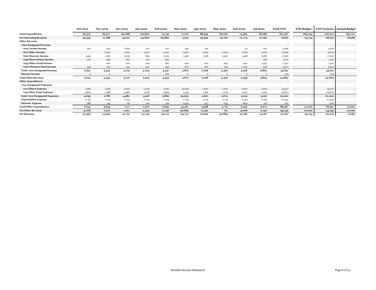|                                       | <b>Oct 2019</b> | <b>Nov 2019</b> | <b>Dec 2019</b> | <b>Jan 2020</b> | <b>Feb 2020</b> | <b>Mar 2020</b> | <b>Apr 2020</b> | <b>May 2020</b> | <b>Jun 2020</b> | <b>Jul 2020</b> | <b>Total YTD</b>         | <b>YTD Budget</b> |            | <b>YTD Variance Annual Budget</b> |
|---------------------------------------|-----------------|-----------------|-----------------|-----------------|-----------------|-----------------|-----------------|-----------------|-----------------|-----------------|--------------------------|-------------------|------------|-----------------------------------|
| <b>Total Expenditures</b>             | 85,375          | 85,977          | 96,088          | 102,690         | 73,733          | 71.016          | 88,554          | 66.060          | 73,489          | 68,285          | 811.267                  | 685,255           | $-126.012$ | 831,011                           |
| <b>Net Operating Revenue</b>          | $-33,555$       | $-11,788$       | 43,611          | $-34,800$       | $-26,866$       | 5,975           | 23,949          | 40,162          | $-10,174$       | 10,092          | 6,606                    | 34,745            | $-28,139$  | 18,989                            |
| <b>Other Revenue</b>                  |                 |                 |                 |                 |                 |                 |                 |                 |                 |                 |                          |                   |            |                                   |
| 7000 Designated Income                |                 |                 |                 |                 |                 |                 |                 |                 |                 |                 | $\overline{\phantom{a}}$ |                   |            | $\sim$                            |
| 7005 Awana Income                     | 226             | 230             | 1,080           | 270             | 100             | 350             | 160             |                 | 50              | 100             | 2,566                    |                   | 2,566      | $\sim$                            |
| 7010 Elder Income                     |                 | 1,000           | 1,000           | 1,000           | 1,000           | 1,000           | 1,000           | 1,000           | 1,000           | 1,000           | 9,000                    |                   | 9,000      | $\sim$                            |
| 7020 Deacons Income                   | 1,495           | 1,056           | 2,095           | 864             | 2,015           | 1,456           | 1,198           | 3,326           | 1,568           | 2,287           | 17,360                   |                   | 17,360     | $\sim$                            |
| 7030 Benevolence Income               | 375             | 436             | 700             | 270             | 500             |                 |                 |                 |                 | 730             | 3,011                    |                   | 3,011      | $\sim$                            |
| 7035 Other Fund Income                |                 | 200             | 200             | 200             | 200             | 200             | 200             | 850             | 200             | 5,057           | 7,307                    |                   | 7,307      | $\overline{\phantom{a}}$          |
| 7040 Missions Fund Income             | 535             | 510             | 140             | 420             | 432             | 870             | 370             | 320             | 1,120           | 690             | 5,407                    |                   | 5,407      | $\sim$                            |
| <b>Total 7000 Designated Income</b>   | 2,631           | 3,432           | 5,215           | 3,024           | 4,247           | 3,876           | 2,928           | 5,496           | 3,938           | 9,864           | 44,651                   |                   | 44,651     | $\sim$                            |
| <b>Interest Income</b>                |                 | $\overline{2}$  |                 |                 | 206             | $\Omega$        | $\Omega$        | $\Omega$        | $\Omega$        | $\Omega$        | 213                      |                   | 213        | $\sim$                            |
| <b>Total Other Revenue</b>            | 2,633           | 3,434           | 5,216           | 3,025           | 4,453           | 3,876           | 2,928           | 5,496           | 3,938           | 9,864           | 44,864                   |                   | 44,864     | $\sim$                            |
| <b>Other Expenditures</b>             |                 |                 |                 |                 |                 |                 |                 |                 |                 |                 |                          |                   |            |                                   |
| 7100 Designated Expenses              |                 |                 |                 |                 |                 |                 |                 |                 |                 |                 |                          |                   |            | $\sim$                            |
| 7110 Elders Expense                   | 1,269           | 1,398           | 1,000           | 1,000           | 1,000           | 25,750          | 1,000           | 1,000           | 1,000           | 1,000           | 35,417                   |                   | $-35,417$  | $\sim$                            |
| 7135 Other Fund Expense               | 2,826           | 1,388           | 3,480           | 2,318           | 2,865           | 3,555           | 1,661           | 1,674           | 4,015           | 2,091           | 25,873                   |                   | $-25,873$  | $\overline{\phantom{a}}$          |
| <b>Total 7100 Designated Expenses</b> | 4,095           | 2,786           | 4,480           | 3,318           | 3,865           | 29,305          | 2,661           | 2,674           | 5,015           | 3,091           | 61,290                   |                   | $-61,290$  | $\sim$                            |
| <b>Depreciation Expense</b>           | 2,734           | 2,734           | 2,734           | 2,734           | 2,734           | 2,734           | 2,734           | 2,734           | 2,734           | 2,734           | 27,340                   |                   | $-27,340$  |                                   |
| <b>Interest Expense</b>               | $-188$          | 125             | $-96$           | $-82$           | 100             | 2,522           | $-427$          | $-633$          | $-802$          | $-151$          | 367                      |                   | $-367$     | $\sim$                            |
| <b>Total Other Expenditures</b>       | 6,641           | 5,645           | 7,117           | 5,970           | 6,699           | 34,561          | 4,968           | 4,775           | 6,946           | 5,674           | 88,997                   | 10.000            | $-78,997$  | 12,000                            |
| <b>Net Other Revenue</b>              | $-4,008$        | $-2,211$        | $-1,901$        | $-2,945$        | $-2,246$        | $-30,685$       | $-2,040$        | 721             | $-3,008$        | 4,190           | $-44,133$                | $-10,000$         | $-34,133$  | $-12,000$                         |
| <b>Net Revenue</b>                    | $-37,563$       | $-13,999$       | 41,710          | $-37,745$       | $-29,112$       | $-24,710$       | 21,909          | 40,884          | $-13,182$       | 14,281          | $-37,527$                | 24,745            | $-62,272$  | 6,989                             |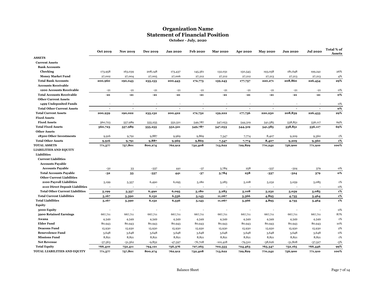# **Statement of Financial Position Organization Name**

**October - July, 2020**

|                                        | Oct 2019                 | <b>Nov 2019</b>          | <b>Dec 2019</b>          | <b>Jan 2020</b> | <b>Feb 2020</b>          | <b>Mar 2020</b>          | Apr 2020                 | <b>May 2020</b>          | Jun 2020             | <b>Jul 2020</b> | Total % of<br><b>Assets</b> |
|----------------------------------------|--------------------------|--------------------------|--------------------------|-----------------|--------------------------|--------------------------|--------------------------|--------------------------|----------------------|-----------------|-----------------------------|
| <b>ASSETS</b>                          |                          |                          |                          |                 |                          |                          |                          |                          |                      |                 |                             |
| <b>Current Assets</b>                  |                          |                          |                          |                 |                          |                          |                          |                          |                      |                 |                             |
| <b>Bank Accounts</b>                   |                          |                          |                          |                 |                          |                          |                          |                          |                      |                 |                             |
| Checking                               | 173,958                  | 163,039                  | 208,148                  | 173,437         | 145,561                  | 132,031                  | 150,545                  | 193,058                  | 181,648              | 199,241         | 26%                         |
| <b>Money Market Fund</b>               | 27,002                   | 27,004                   | 27,005                   | 27,006          | 27,212                   | 27,212                   | 27,212                   | 27,213                   | 27,213               | 27,213          | 4%                          |
| <b>Total Bank Accounts</b>             | 200,960                  | 190,043                  | 235,153                  | 200,443         | 172,773                  | 159,243                  | 177,757                  | 220,271                  | 208,860              | 226,454         | 29%                         |
| <b>Accounts Receivable</b>             |                          |                          |                          |                 |                          |                          |                          |                          |                      |                 |                             |
| 1200 Accounts Receivable               | $-21$                    | $-21$                    | $-21$                    | $-21$           | $-21$                    | $-21$                    | $-21$                    | $-21$                    | $-21$                | $-21$           | 0%                          |
| <b>Total Accounts Receivable</b>       | $-21$                    | $-21$                    | $-21$                    | $-21$           | $-21$                    | $-21$                    | $-21$                    | $-21$                    | $-21$                | $-21$           | о%                          |
| <b>Other Current Assets</b>            |                          |                          |                          |                 |                          |                          |                          |                          |                      |                 |                             |
| 1499 Undeposited Funds                 |                          |                          |                          |                 |                          |                          |                          |                          |                      |                 | 0%                          |
| <b>Total Other Current Assets</b>      | $\overline{\phantom{a}}$ | $\overline{\phantom{a}}$ | $\overline{\phantom{a}}$ | $\overline{a}$  | $\overline{\phantom{a}}$ | $\overline{\phantom{a}}$ | $\overline{\phantom{a}}$ | $\overline{\phantom{a}}$ | $\sim$               |                 | 0%                          |
| <b>Total Current Assets</b>            | 200,939                  | 190,022                  | 235,132                  | 200,422         | 172,752                  | 159,222                  | 177,736                  | 220,250                  | 208,839              | 226,433         | 29%                         |
| <b>Fixed Assets</b>                    |                          |                          |                          |                 |                          |                          |                          |                          |                      |                 |                             |
| <b>Fixed Assets</b>                    | 560,723                  | 557,989                  | 555,255                  | 552,521         | 549,787                  | 547,053                  | 544,319                  | 541,585                  | 538,851              | 536,117         | 69%                         |
| <b>Total Fixed Assets</b>              | 560,723                  | 557,989                  | 555,255                  | 552,521         | 549,787                  | 547,053                  | 544,319                  | 541,585                  | 538,851              | 536,117         | 69%                         |
| <b>Other Assets</b>                    |                          |                          |                          |                 |                          |                          |                          |                          |                      |                 |                             |
| 18300 Other Investments                | 9,916                    | 9,791                    | 9,887                    | 9,969           | 9,869                    | 7,347                    | 7,774                    | 8,407                    | 9,209                | 9,360           | 1%                          |
| <b>Total Other Assets</b>              | 9,916                    | 9,791                    | 9,887                    | 9,969           | 9,869                    | 7,347                    | 7,774                    | 8,407                    | 9,209                | 9,360           | 1%                          |
| <b>TOTAL ASSETS</b>                    | 771,577                  | 757,801                  | 800,274                  | 762,912         | 732,408                  | 713,622                  | 729,829                  | 770,242                  | 756,900              | 771,910         | 100%                        |
| <b>LIABILITIES AND EQUITY</b>          |                          |                          |                          |                 |                          |                          |                          |                          |                      |                 |                             |
| <b>Liabilities</b>                     |                          |                          |                          |                 |                          |                          |                          |                          |                      |                 |                             |
| <b>Current Liabilities</b>             |                          |                          |                          |                 |                          |                          |                          |                          |                      |                 |                             |
| <b>Accounts Payable</b>                |                          |                          |                          |                 |                          |                          |                          |                          |                      |                 |                             |
| <b>Accounts Payable</b>                | $-32$                    | 33                       | $-337$                   | 441             | $-37$                    | 5,784                    | 258                      | $-337$                   | $-324$               | 379             | 0%                          |
| <b>Total Accounts Payable</b>          | $-32$                    | 33                       | $-337$                   | 441             | $-37$                    | 5,784                    | 258                      | $-337$                   | $-324$               | 379             | 0%                          |
| <b>Other Current Liabilities</b>       |                          |                          |                          |                 |                          |                          |                          |                          |                      |                 |                             |
| 2100 Payroll Liabilities               | 5,199                    | 5,357                    | 6,490                    | 6,095           | 5,180                    | 5,283                    | 5,108                    | 5,232                    | 5,059                | 5,085           | 1%                          |
| 2110 Direct Deposit Liabilities        | $\sim$                   | $\sim$                   | $\overline{\phantom{a}}$ | $\sim$          | ÷,                       | $\sim$                   | $\sim$                   |                          | $\ddot{\phantom{1}}$ | $\sim$          | 0%                          |
| <b>Total Other Current Liabilities</b> | 5,199                    | 5,357                    | 6,490                    | 6,095           | 5,180                    | 5,283                    | 5,108                    | 5,232                    | 5,059                | 5,085           | $1\%$                       |
| <b>Total Current Liabilities</b>       | 5,167                    | 5,390                    | 6,152                    | 6,536           | 5,143                    | 11,067                   | 5,366                    | 4,895                    | 4,735                | 5,464           | 1%                          |
| <b>Total Liabilities</b>               | 5,167                    | 5,390                    | 6,152                    | 6,536           | 5,143                    | 11,067                   | 5,366                    | 4,895                    | 4,735                | 5,464           | $1\%$                       |
| Equity                                 |                          |                          |                          |                 |                          |                          |                          |                          |                      |                 |                             |
| 3000 Equity                            |                          |                          | $\overline{\phantom{a}}$ |                 |                          |                          |                          |                          |                      |                 | 0%                          |
| 3900 Retained Earnings                 | 667,711                  | 667,711                  | 667,711                  | 667,711         | 667,711                  | 667,711                  | 667,711                  | 667,711                  | 667,711              | 667,711         | 87%                         |
| Awana                                  | 4,349                    | 4,349                    | 4,349                    | 4,349           | 4,349                    | 4,349                    | 4,349                    | 4,349                    | 4,349                | 4,349           | 1%                          |
| <b>Elder Fund</b>                      | 80,943                   | 80,943                   | 80,943                   | 80,943          | 80,943                   | 80,943                   | 80,943                   | 80,943                   | 80,943               | 80,943          | 10%                         |
| <b>Deacons Fund</b>                    | 15,930                   | 15,930                   | 15,930                   | 15,930          | 15,930                   | 15,930                   | 15,930                   | 15,930                   | 15,930               | 15,930          | 2%                          |
| <b>Benevolence Fund</b>                | 3,648                    | 3,648                    | 3,648                    | 3,648           | 3,648                    | 3,648                    | 3,648                    | 3,648                    | 3,648                | 3,648           | 0%                          |
| <b>Missions Fund</b>                   | 8,821                    | 8,821                    | 8,821                    | 8,821           | 8,821                    | 8,821                    | 8,821                    | 8,821                    | 8,821                | 8,821           | 1%                          |
| <b>Net Revenue</b>                     | $-37,563$                | $-51,562$                | $-9,852$                 | $-47,597$       | $-76,708$                | $-101,418$               | $-79,510$                | $-38,626$                | $-51,808$            | $-37,527$       | $-5%$                       |
| <b>Total Equity</b>                    | 766,410                  | 752,411                  | 794,121                  | 756,376         | 727,265                  | 702,555                  | 724,463                  | 765,347                  | 752,165              | 766,446         | 99%                         |
| TOTAL LIABILITIES AND EQUITY           | 771,577                  | 757,801                  | 800,274                  | 762,912         | 732,408                  | 713,622                  | 729,829                  | 770,242                  | 756,900              | 771,910         | 100%                        |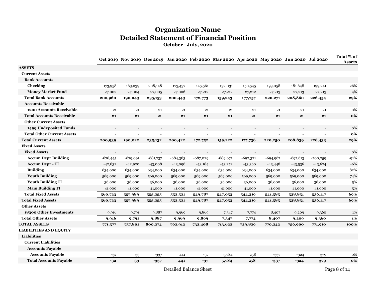# **Organization Name Detailed Statement of Financial Position**

**October - July, 2020**

|                                   |                          |                          |                          |                          |                          | Oct 2019 Nov 2019 Dec 2019 Jan 2020 Feb 2020 Mar 2020 Apr 2020 May 2020 Jun 2020 Jul 2020 |                          |                          |                |                          | Total % of<br><b>Assets</b> |
|-----------------------------------|--------------------------|--------------------------|--------------------------|--------------------------|--------------------------|-------------------------------------------------------------------------------------------|--------------------------|--------------------------|----------------|--------------------------|-----------------------------|
| <b>ASSETS</b>                     |                          |                          |                          |                          |                          |                                                                                           |                          |                          |                |                          |                             |
| <b>Current Assets</b>             |                          |                          |                          |                          |                          |                                                                                           |                          |                          |                |                          |                             |
| <b>Bank Accounts</b>              |                          |                          |                          |                          |                          |                                                                                           |                          |                          |                |                          |                             |
| Checking                          | 173,958                  | 163,039                  | 208,148                  | 173,437                  | 145,561                  | 132,031                                                                                   | 150,545                  | 193,058                  | 181,648        | 199,241                  | 26%                         |
| <b>Money Market Fund</b>          | 27,002                   | 27,004                   | 27,005                   | 27,006                   | 27,212                   | 27,212                                                                                    | 27,212                   | 27,213                   | 27,213         | 27,213                   | 4%                          |
| <b>Total Bank Accounts</b>        | 200,960                  | 190,043                  | 235,153                  | 200,443                  | 172,773                  | 159,243                                                                                   | 177,757                  | 220,271                  | 208,860        | 226,454                  | 29%                         |
| <b>Accounts Receivable</b>        |                          |                          |                          |                          |                          |                                                                                           |                          |                          |                |                          |                             |
| 1200 Accounts Receivable          | $-21$                    | $-21$                    | $-21$                    | $-21$                    | $-21$                    | $-21$                                                                                     | $-21$                    | $-21$                    | $-21$          | $-21$                    | 0%                          |
| <b>Total Accounts Receivable</b>  | $-21$                    | $-21$                    | $-21$                    | $-21$                    | $-21$                    | $-21$                                                                                     | $-21$                    | $-21$                    | $-21$          | $-21$                    | 0%                          |
| <b>Other Current Assets</b>       |                          |                          |                          |                          |                          |                                                                                           |                          |                          |                |                          |                             |
| 1499 Undeposited Funds            | $\overline{\phantom{a}}$ | $\overline{\phantom{a}}$ | $\overline{\phantom{a}}$ | $\overline{\phantom{a}}$ | $\overline{\phantom{a}}$ | $\overline{\phantom{a}}$                                                                  | $\overline{\phantom{a}}$ | $\overline{\phantom{a}}$ |                | $\overline{\phantom{a}}$ | 0%                          |
| <b>Total Other Current Assets</b> | $\overline{\phantom{a}}$ | $\blacksquare$           | $\blacksquare$           | $\sim$                   | $\blacksquare$           | $\blacksquare$                                                                            | $\sim$                   | ÷,                       | $\blacksquare$ |                          | 0%                          |
| <b>Total Current Assets</b>       | 200,939                  | 190,022                  | 235,132                  | 200,422                  | 172,752                  | 159,222                                                                                   | 177,736                  | 220,250                  | 208,839        | 226,433                  | 29%                         |
| <b>Fixed Assets</b>               |                          |                          |                          |                          |                          |                                                                                           |                          |                          |                |                          |                             |
| <b>Fixed Assets</b>               |                          |                          |                          |                          |                          |                                                                                           |                          |                          |                |                          | 0%                          |
| <b>Accum Depr Building</b>        | $-676,445$               | $-679,091$               | $-681,737$               | $-684,383$               | $-687,029$               | $-689,675$                                                                                | $-692,321$               | $-694,967$               | $-697,613$     | $-700,259$               | $-91%$                      |
| <b>Accum Depr - TI</b>            | $-42,832$                | $-42,920$                | $-43,008$                | $-43,096$                | $-43,184$                | $-43,272$                                                                                 | $-43,360$                | $-43,448$                | $-43,536$      | $-43,624$                | $-6%$                       |
| <b>Building</b>                   | 634,000                  | 634,000                  | 634,000                  | 634,000                  | 634,000                  | 634,000                                                                                   | 634,000                  | 634,000                  | 634,000        | 634,000                  | 82%                         |
| <b>Youth Building</b>             | 569,000                  | 569,000                  | 569,000                  | 569,000                  | 569,000                  | 569,000                                                                                   | 569,000                  | 569,000                  | 569,000        | 569,000                  | 74%                         |
| <b>Youth Building TI</b>          | 36,000                   | 36,000                   | 36,000                   | 36,000                   | 36,000                   | 36,000                                                                                    | 36,000                   | 36,000                   | 36,000         | 36,000                   | 5%                          |
| <b>Main Building TI</b>           | 41,000                   | 41,000                   | 41,000                   | 41,000                   | 41,000                   | 41,000                                                                                    | 41,000                   | 41,000                   | 41,000         | 41,000                   | 5%                          |
| <b>Total Fixed Assets</b>         | 560,723                  | 557,989                  | 555,255                  | 552,521                  | 549,787                  | 547,053                                                                                   | 544,319                  | 541,585                  | 538,851        | 536,117                  | 69%                         |
| <b>Total Fixed Assets</b>         | 560,723                  | 557,989                  | 555,255                  | 552,521                  | 549,787                  | 547,053                                                                                   | 544,319                  | 541,585                  | 538,851        | 536,117                  | 69%                         |
| <b>Other Assets</b>               |                          |                          |                          |                          |                          |                                                                                           |                          |                          |                |                          |                             |
| 18300 Other Investments           | 9,916                    | 9,791                    | 9,887                    | 9,969                    | 9,869                    | 7,347                                                                                     | 7,774                    | 8,407                    | 9,209          | 9,360                    | 1%                          |
| <b>Total Other Assets</b>         | 9,916                    | 9,791                    | 9,887                    | 9,969                    | 9,869                    | 7,347                                                                                     | 7,774                    | 8,407                    | 9,209          | 9,360                    | 1%                          |
| <b>TOTAL ASSETS</b>               | 771,577                  | 757,801                  | 800,274                  | 762,912                  | 732,408                  | 713,622                                                                                   | 729,829                  | 770,242                  | 756,900        | 771,910                  | 100%                        |
| <b>LIABILITIES AND EQUITY</b>     |                          |                          |                          |                          |                          |                                                                                           |                          |                          |                |                          |                             |
| Liabilities                       |                          |                          |                          |                          |                          |                                                                                           |                          |                          |                |                          |                             |
| <b>Current Liabilities</b>        |                          |                          |                          |                          |                          |                                                                                           |                          |                          |                |                          |                             |
| <b>Accounts Payable</b>           |                          |                          |                          |                          |                          |                                                                                           |                          |                          |                |                          |                             |
| <b>Accounts Payable</b>           | $-32$                    | $33\,$                   | $-337$                   | 441                      | $\mbox{--}37$            | 5,784                                                                                     | 258                      | $-337$                   | $-324$         | 379                      | 0%                          |
| <b>Total Accounts Payable</b>     | $-32$                    | 33                       | $-337$                   | 441                      | $-37$                    | 5,784                                                                                     | 258                      | $-337$                   | $-324$         | 379                      | 0%                          |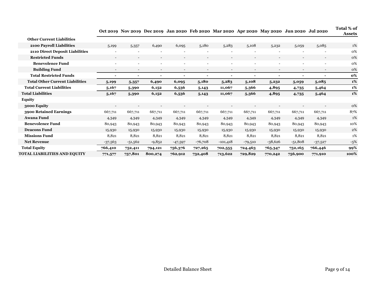|                                        |                          | $\sqrt{2}$ $\sqrt{2}$ $\sqrt{2}$ $\sqrt{2}$ $\sqrt{2}$ $\sqrt{2}$ $\sqrt{2}$ $\sqrt{2}$ $\sqrt{2}$ $\sqrt{2}$ $\sqrt{2}$ $\sqrt{2}$ $\sqrt{2}$ $\sqrt{2}$ $\sqrt{2}$ $\sqrt{2}$ $\sqrt{2}$ $\sqrt{2}$ $\sqrt{2}$ $\sqrt{2}$ $\sqrt{2}$ $\sqrt{2}$ $\sqrt{2}$ $\sqrt{2}$ $\sqrt{2}$ $\sqrt{2}$ $\sqrt{2}$ $\sqrt{2$ | $DUU = UIY$              |                          | $64.2020$ $100200$       |                          | $M0 = 0 = 0$ (ii) $= 0 = 0$ | m, m, m, m               |                          |                          | Assets |
|----------------------------------------|--------------------------|--------------------------------------------------------------------------------------------------------------------------------------------------------------------------------------------------------------------------------------------------------------------------------------------------------------------|--------------------------|--------------------------|--------------------------|--------------------------|-----------------------------|--------------------------|--------------------------|--------------------------|--------|
| <b>Other Current Liabilities</b>       |                          |                                                                                                                                                                                                                                                                                                                    |                          |                          |                          |                          |                             |                          |                          |                          |        |
| 2100 Payroll Liabilities               | 5,199                    | 5,357                                                                                                                                                                                                                                                                                                              | 6,490                    | 6,095                    | 5,180                    | 5,283                    | 5,108                       | 5,232                    | 5,059                    | 5,085                    | 1%     |
| 2110 Direct Deposit Liabilities        | $\overline{\phantom{a}}$ |                                                                                                                                                                                                                                                                                                                    |                          | $\overline{\phantom{a}}$ |                          | $\overline{\phantom{0}}$ | $\overline{\phantom{a}}$    | $\overline{\phantom{a}}$ | $\overline{\phantom{a}}$ |                          | 0%     |
| <b>Restricted Funds</b>                | $\overline{a}$           | $\sim$                                                                                                                                                                                                                                                                                                             | $\overline{\phantom{a}}$ | $\overline{\phantom{a}}$ | $\overline{\phantom{a}}$ | $\overline{\phantom{a}}$ | $\overline{\phantom{a}}$    | $\overline{\phantom{a}}$ | $\overline{\phantom{a}}$ | $\overline{\phantom{a}}$ | 0%     |
| <b>Benevolence Fund</b>                | $\overline{\phantom{a}}$ | $\overline{\phantom{a}}$                                                                                                                                                                                                                                                                                           |                          | $\overline{\phantom{a}}$ |                          | $\overline{\phantom{0}}$ | $\overline{\phantom{a}}$    | $\overline{\phantom{0}}$ | $\overline{\phantom{a}}$ |                          | 0%     |
| <b>Building Fund</b>                   | $\overline{\phantom{a}}$ | $\overline{\phantom{a}}$                                                                                                                                                                                                                                                                                           | $\overline{\phantom{a}}$ | $\overline{\phantom{a}}$ | $\overline{\phantom{a}}$ | $\overline{\phantom{a}}$ | $\overline{\phantom{a}}$    | $\overline{\phantom{a}}$ | $\overline{\phantom{a}}$ | $\overline{\phantom{a}}$ | 0%     |
| <b>Total Restricted Funds</b>          | ٠                        | $\blacksquare$                                                                                                                                                                                                                                                                                                     | $\blacksquare$           | $\blacksquare$           | $\overline{\phantom{0}}$ |                          | $\blacksquare$              | $\overline{\phantom{0}}$ | $\overline{\phantom{0}}$ | $\blacksquare$           | 0%     |
| <b>Total Other Current Liabilities</b> | 5,199                    | 5,357                                                                                                                                                                                                                                                                                                              | 6,490                    | 6,095                    | 5,180                    | 5,283                    | 5,108                       | 5,232                    | 5,059                    | 5,085                    | 1%     |
| <b>Total Current Liabilities</b>       | 5,167                    | 5,390                                                                                                                                                                                                                                                                                                              | 6,152                    | 6,536                    | 5,143                    | 11,067                   | 5,366                       | 4,895                    | 4,735                    | 5,464                    | 1%     |
| <b>Total Liabilities</b>               | 5,167                    | 5,390                                                                                                                                                                                                                                                                                                              | 6,152                    | 6,536                    | 5,143                    | 11,067                   | 5,366                       | 4,895                    | 4,735                    | 5,464                    | 1%     |
| <b>Equity</b>                          |                          |                                                                                                                                                                                                                                                                                                                    |                          |                          |                          |                          |                             |                          |                          |                          |        |
| 3000 Equity                            | $\overline{\phantom{a}}$ | $\overline{\phantom{a}}$                                                                                                                                                                                                                                                                                           |                          | $\overline{\phantom{a}}$ |                          |                          |                             | $\overline{\phantom{a}}$ | $\overline{\phantom{0}}$ |                          | 0%     |
| 3900 Retained Earnings                 | 667,711                  | 667,711                                                                                                                                                                                                                                                                                                            | 667,711                  | 667,711                  | 667,711                  | 667,711                  | 667,711                     | 667,711                  | 667,711                  | 667,711                  | 87%    |
| Awana Fund                             | 4,349                    | 4,349                                                                                                                                                                                                                                                                                                              | 4,349                    | 4,349                    | 4,349                    | 4,349                    | 4,349                       | 4,349                    | 4,349                    | 4,349                    | 1%     |
| <b>Benevolence Fund</b>                | 80,943                   | 80,943                                                                                                                                                                                                                                                                                                             | 80,943                   | 80,943                   | 80,943                   | 80,943                   | 80,943                      | 80,943                   | 80,943                   | 80,943                   | 10%    |
| <b>Deacons Fund</b>                    | 15,930                   | 15,930                                                                                                                                                                                                                                                                                                             | 15,930                   | 15,930                   | 15,930                   | 15,930                   | 15,930                      | 15,930                   | 15,930                   | 15,930                   | 2%     |
| <b>Missions Fund</b>                   | 8,821                    | 8,821                                                                                                                                                                                                                                                                                                              | 8,821                    | 8,821                    | 8,821                    | 8,821                    | 8,821                       | 8,821                    | 8,821                    | 8,821                    | 1%     |
| <b>Net Revenue</b>                     | $-37,563$                | $-51,562$                                                                                                                                                                                                                                                                                                          | $-9,852$                 | $-47,597$                | -76,708                  | -101,418                 | $-79,510$                   | $-38,626$                | $-51,808$                | $-37,527$                | $-5%$  |
| <b>Total Equity</b>                    | 766,410                  | 752,411                                                                                                                                                                                                                                                                                                            | 794,121                  | 756,376                  | 727,265                  | 702,555                  | 724,463                     | 765,347                  | 752,165                  | 766,446                  | 99%    |
| TOTAL LIABILITIES AND EQUITY           | 771,577                  | 757,801                                                                                                                                                                                                                                                                                                            | 800,274                  | 762,912                  | 732,408                  | 713,622                  | 729,829                     | 770,242                  | 756,900                  | 771,910                  | 100%   |

**Oct 2019 Nov 2019 Dec 2019 Jan 2020 Feb 2020 Mar 2020 Apr 2020 May 2020 Jun 2020 Jul 2020 Total % of**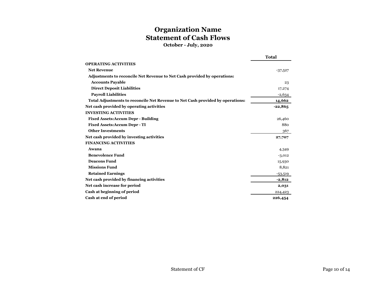# **Organization Name Statement of Cash Flows**

**October - July, 2020**

|                                                                                | <b>Total</b> |
|--------------------------------------------------------------------------------|--------------|
| <b>OPERATING ACTIVITIES</b>                                                    |              |
| <b>Net Revenue</b>                                                             | $-37,527$    |
| Adjustments to reconcile Net Revenue to Net Cash provided by operations:       |              |
| <b>Accounts Payable</b>                                                        | 23           |
| <b>Direct Deposit Liabilities</b>                                              | 17,274       |
| <b>Payroll Liabilities</b>                                                     | $-2,634$     |
| Total Adjustments to reconcile Net Revenue to Net Cash provided by operations: | 14,662       |
| Net cash provided by operating activities                                      | $-22,865$    |
| <b>INVESTING ACTIVITIES</b>                                                    |              |
| <b>Fixed Assets: Accum Depr - Building</b>                                     | 26,460       |
| <b>Fixed Assets: Accum Depr - TI</b>                                           | 880          |
| <b>Other Investments</b>                                                       | 367          |
| Net cash provided by investing activities                                      | 27,707       |
| <b>FINANCING ACTIVITIES</b>                                                    |              |
| Awana                                                                          | 4,349        |
| <b>Benevolence Fund</b>                                                        | $-3,012$     |
| <b>Deacons Fund</b>                                                            | 15,930       |
| <b>Missions Fund</b>                                                           | 8,821        |
| <b>Retained Earnings</b>                                                       | $-53,519$    |
| Net cash provided by financing activities                                      | $-2,812$     |
| Net cash increase for period                                                   | 2,031        |
| Cash at beginning of period                                                    | 224,423      |
| Cash at end of period                                                          | 226,454      |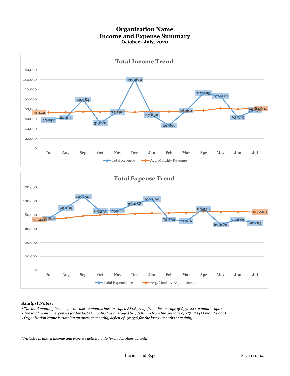#### **Organization Name Income and Expense Summary October - July, 2020**



#### *Analyst Notes:*

- *The total monthly income for the last 12 months has averaged \$81,631; up from the average of \$73,144 (12 months ago).*
- *The total monthly expenses for the last 12 months has averaged \$84,008; up from the average of \$73,421 (12 months ago).*
- *Organization Name is running an average monthly deficit of -\$2,378 for the last 12 months of activity.*

*\*Includes primary income and expense activity only (excludes other activity)*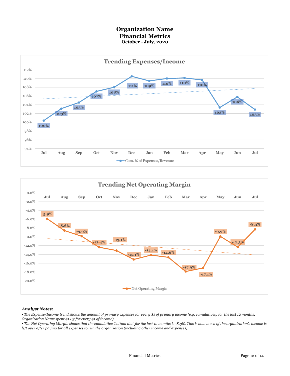#### **Organization Name Financial Metrics October - July, 2020**





#### *Analyst Notes:*

*• The Expense/Income trend shows the amount of primary expenses for every \$1 of primary income (e.g. cumulatively for the last 12 months,* 

*Organization Name spent \$1.03 for every \$1 of income).*

*• The Net Operating Margin shows that the cumulative 'bottom line' for the last 12 months is -8.3%. This is how much of the organization's income is left over after paying for all expenses to run the organization (including other income and expenses).*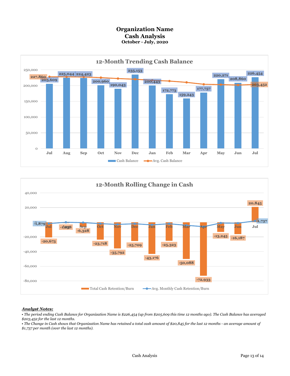### **Organization Name Cash Analysis October - July, 2020**





#### *Analyst Notes:*

*• The period ending Cash Balance for Organization Name is \$226,454 (up from \$205,609 this time 12 months ago). The Cash Balance has averaged \$203,452 for the last 12 months.*

*• The Change in Cash shows that Organization Name has retained a total cash amount of \$20,845 for the last 12 months - an average amount of \$1,737 per month (over the last 12 months).*